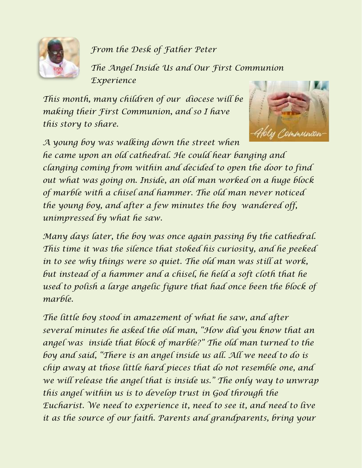

*From the Desk of Father Peter*

*The Angel Inside Us and Our First Communion Experience*

*This month, many children of our diocese will be making their First Communion, and so I have this story to share.* 



*A young boy was walking down the street when he came upon an old cathedral. He could hear banging and clanging coming from within and decided to open the door to find out what was going on. Inside, an old man worked on a huge block of marble with a chisel and hammer. The old man never noticed the young boy, and after a few minutes the boy wandered off, unimpressed by what he saw.*

*Many days later, the boy was once again passing by the cathedral. This time it was the silence that stoked his curiosity, and he peeked in to see why things were so quiet. The old man was still at work, but instead of a hammer and a chisel, he held a soft cloth that he used to polish a large angelic figure that had once been the block of marble.*

*The little boy stood in amazement of what he saw, and after several minutes he asked the old man, "How did you know that an angel was inside that block of marble?" The old man turned to the boy and said, "There is an angel inside us all. All we need to do is chip away at those little hard pieces that do not resemble one, and we will release the angel that is inside us." The only way to unwrap this angel within us is to develop trust in God through the Eucharist. We need to experience it, need to see it, and need to live it as the source of our faith. Parents and grandparents, bring your*